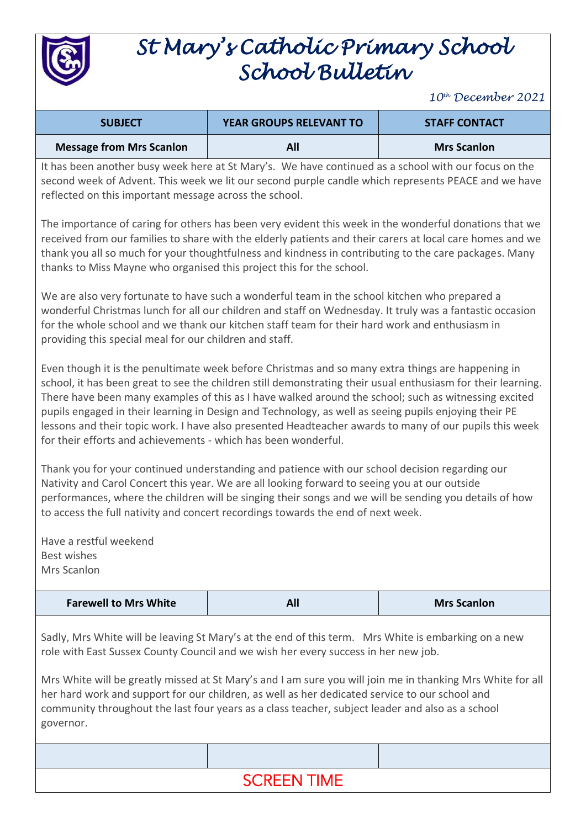

# *St Mary's Catholic Primary School School Bulletin*

*10th December 2021*

| <b>SUBJECT</b>           | <b>YEAR GROUPS RELEVANT TO</b> | <b>STAFF CONTACT</b> |
|--------------------------|--------------------------------|----------------------|
| Message from Mrs Scanlon |                                | <b>Mrs Scanlon</b>   |

It has been another busy week here at St Mary's. We have continued as a school with our focus on the second week of Advent. This week we lit our second purple candle which represents PEACE and we have reflected on this important message across the school.

The importance of caring for others has been very evident this week in the wonderful donations that we received from our families to share with the elderly patients and their carers at local care homes and we thank you all so much for your thoughtfulness and kindness in contributing to the care packages. Many thanks to Miss Mayne who organised this project this for the school.

We are also very fortunate to have such a wonderful team in the school kitchen who prepared a wonderful Christmas lunch for all our children and staff on Wednesday. It truly was a fantastic occasion for the whole school and we thank our kitchen staff team for their hard work and enthusiasm in providing this special meal for our children and staff.

Even though it is the penultimate week before Christmas and so many extra things are happening in school, it has been great to see the children still demonstrating their usual enthusiasm for their learning. There have been many examples of this as I have walked around the school; such as witnessing excited pupils engaged in their learning in Design and Technology, as well as seeing pupils enjoying their PE lessons and their topic work. I have also presented Headteacher awards to many of our pupils this week for their efforts and achievements - which has been wonderful.

Thank you for your continued understanding and patience with our school decision regarding our Nativity and Carol Concert this year. We are all looking forward to seeing you at our outside performances, where the children will be singing their songs and we will be sending you details of how to access the full nativity and concert recordings towards the end of next week.

Have a restful weekend Best wishes Mrs Scanlon

| <b>Farewell to Mrs White</b> | All | <b>Mrs Scanlon</b> |
|------------------------------|-----|--------------------|
|------------------------------|-----|--------------------|

Sadly, Mrs White will be leaving St Mary's at the end of this term. Mrs White is embarking on a new role with East Sussex County Council and we wish her every success in her new job.

Mrs White will be greatly missed at St Mary's and I am sure you will join me in thanking Mrs White for all her hard work and support for our children, as well as her dedicated service to our school and community throughout the last four years as a class teacher, subject leader and also as a school governor.

## SCREEN TIME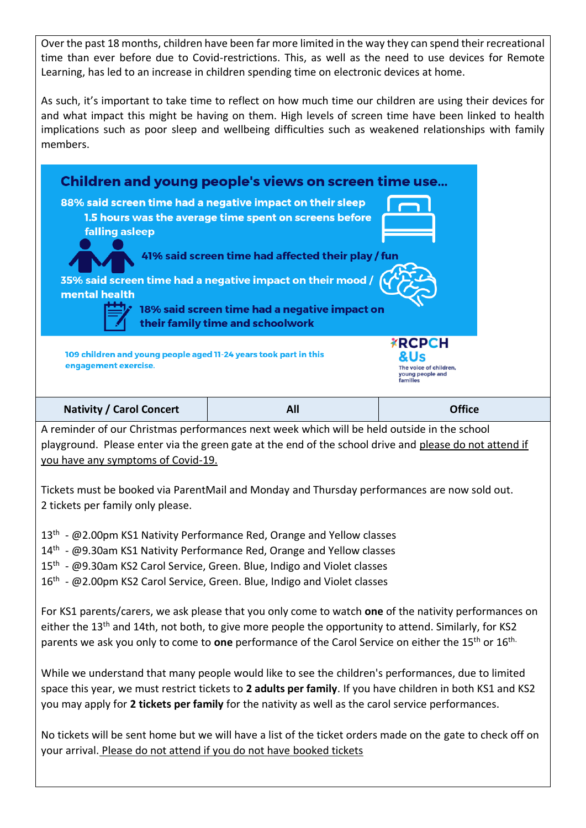Over the past 18 months, children have been far more limited in the way they can spend their recreational time than ever before due to Covid-restrictions. This, as well as the need to use devices for Remote Learning, has led to an increase in children spending time on electronic devices at home.

As such, it's important to take time to reflect on how much time our children are using their devices for and what impact this might be having on them. High levels of screen time have been linked to health implications such as poor sleep and wellbeing difficulties such as weakened relationships with family members.



playground. Please enter via the green gate at the end of the school drive and please do not attend if you have any symptoms of Covid-19.

Tickets must be booked via ParentMail and Monday and Thursday performances are now sold out. 2 tickets per family only please.

- 13<sup>th</sup> @2.00pm KS1 Nativity Performance Red, Orange and Yellow classes
- 14<sup>th</sup> @9.30am KS1 Nativity Performance Red, Orange and Yellow classes
- 15<sup>th</sup> @9.30am KS2 Carol Service, Green. Blue, Indigo and Violet classes
- 16<sup>th</sup> @2.00pm KS2 Carol Service, Green. Blue, Indigo and Violet classes

For KS1 parents/carers, we ask please that you only come to watch **one** of the nativity performances on either the 13<sup>th</sup> and 14th, not both, to give more people the opportunity to attend. Similarly, for KS2 parents we ask you only to come to **one** performance of the Carol Service on either the 15th or 16th.

While we understand that many people would like to see the children's performances, due to limited space this year, we must restrict tickets to **2 adults per family**. If you have children in both KS1 and KS2 you may apply for **2 tickets per family** for the nativity as well as the carol service performances.

No tickets will be sent home but we will have a list of the ticket orders made on the gate to check off on your arrival. Please do not attend if you do not have booked tickets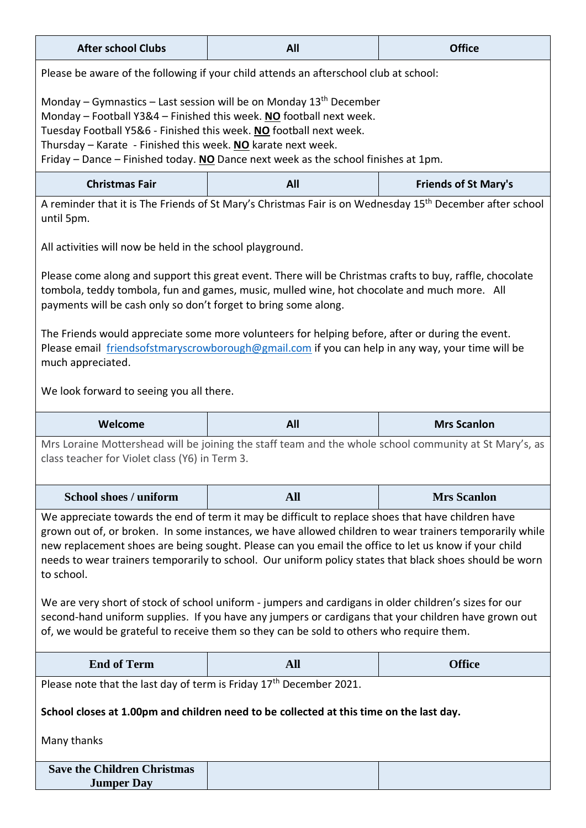| <b>After school Clubs</b>                                                                                                                                                                                                                                                                                                                                                      | All                                                                                                                                                                                                                                                                                                                                                                                                                                                                                                                                                                                                                                                                                                                                            | <b>Office</b>               |  |  |
|--------------------------------------------------------------------------------------------------------------------------------------------------------------------------------------------------------------------------------------------------------------------------------------------------------------------------------------------------------------------------------|------------------------------------------------------------------------------------------------------------------------------------------------------------------------------------------------------------------------------------------------------------------------------------------------------------------------------------------------------------------------------------------------------------------------------------------------------------------------------------------------------------------------------------------------------------------------------------------------------------------------------------------------------------------------------------------------------------------------------------------------|-----------------------------|--|--|
| Please be aware of the following if your child attends an afterschool club at school:                                                                                                                                                                                                                                                                                          |                                                                                                                                                                                                                                                                                                                                                                                                                                                                                                                                                                                                                                                                                                                                                |                             |  |  |
| Monday – Gymnastics – Last session will be on Monday $13th$ December<br>Monday – Football Y3&4 – Finished this week. NO football next week.<br>Tuesday Football Y5&6 - Finished this week. NO football next week.<br>Thursday - Karate - Finished this week. NO karate next week.<br>Friday – Dance – Finished today. NO Dance next week as the school finishes at 1pm.        |                                                                                                                                                                                                                                                                                                                                                                                                                                                                                                                                                                                                                                                                                                                                                |                             |  |  |
| <b>Christmas Fair</b>                                                                                                                                                                                                                                                                                                                                                          | All                                                                                                                                                                                                                                                                                                                                                                                                                                                                                                                                                                                                                                                                                                                                            | <b>Friends of St Mary's</b> |  |  |
| A reminder that it is The Friends of St Mary's Christmas Fair is on Wednesday 15 <sup>th</sup> December after school<br>until 5pm.                                                                                                                                                                                                                                             |                                                                                                                                                                                                                                                                                                                                                                                                                                                                                                                                                                                                                                                                                                                                                |                             |  |  |
| All activities will now be held in the school playground.                                                                                                                                                                                                                                                                                                                      |                                                                                                                                                                                                                                                                                                                                                                                                                                                                                                                                                                                                                                                                                                                                                |                             |  |  |
| Please come along and support this great event. There will be Christmas crafts to buy, raffle, chocolate<br>tombola, teddy tombola, fun and games, music, mulled wine, hot chocolate and much more. All<br>payments will be cash only so don't forget to bring some along.<br>The Friends would appreciate some more volunteers for helping before, after or during the event. |                                                                                                                                                                                                                                                                                                                                                                                                                                                                                                                                                                                                                                                                                                                                                |                             |  |  |
| Please email friendsofstmaryscrowborough@gmail.com if you can help in any way, your time will be<br>much appreciated.                                                                                                                                                                                                                                                          |                                                                                                                                                                                                                                                                                                                                                                                                                                                                                                                                                                                                                                                                                                                                                |                             |  |  |
| We look forward to seeing you all there.                                                                                                                                                                                                                                                                                                                                       |                                                                                                                                                                                                                                                                                                                                                                                                                                                                                                                                                                                                                                                                                                                                                |                             |  |  |
| Welcome                                                                                                                                                                                                                                                                                                                                                                        | All                                                                                                                                                                                                                                                                                                                                                                                                                                                                                                                                                                                                                                                                                                                                            |                             |  |  |
|                                                                                                                                                                                                                                                                                                                                                                                |                                                                                                                                                                                                                                                                                                                                                                                                                                                                                                                                                                                                                                                                                                                                                | <b>Mrs Scanlon</b>          |  |  |
| class teacher for Violet class (Y6) in Term 3.                                                                                                                                                                                                                                                                                                                                 | Mrs Loraine Mottershead will be joining the staff team and the whole school community at St Mary's, as                                                                                                                                                                                                                                                                                                                                                                                                                                                                                                                                                                                                                                         |                             |  |  |
| <b>School shoes / uniform</b>                                                                                                                                                                                                                                                                                                                                                  | <b>All</b>                                                                                                                                                                                                                                                                                                                                                                                                                                                                                                                                                                                                                                                                                                                                     | <b>Mrs Scanlon</b>          |  |  |
| to school.                                                                                                                                                                                                                                                                                                                                                                     | We appreciate towards the end of term it may be difficult to replace shoes that have children have<br>grown out of, or broken. In some instances, we have allowed children to wear trainers temporarily while<br>new replacement shoes are being sought. Please can you email the office to let us know if your child<br>needs to wear trainers temporarily to school. Our uniform policy states that black shoes should be worn<br>We are very short of stock of school uniform - jumpers and cardigans in older children's sizes for our<br>second-hand uniform supplies. If you have any jumpers or cardigans that your children have grown out<br>of, we would be grateful to receive them so they can be sold to others who require them. |                             |  |  |
| <b>End of Term</b>                                                                                                                                                                                                                                                                                                                                                             | <b>All</b>                                                                                                                                                                                                                                                                                                                                                                                                                                                                                                                                                                                                                                                                                                                                     | <b>Office</b>               |  |  |
| Please note that the last day of term is Friday $17th$ December 2021.                                                                                                                                                                                                                                                                                                          |                                                                                                                                                                                                                                                                                                                                                                                                                                                                                                                                                                                                                                                                                                                                                |                             |  |  |
|                                                                                                                                                                                                                                                                                                                                                                                | School closes at 1.00pm and children need to be collected at this time on the last day.                                                                                                                                                                                                                                                                                                                                                                                                                                                                                                                                                                                                                                                        |                             |  |  |
| Many thanks                                                                                                                                                                                                                                                                                                                                                                    |                                                                                                                                                                                                                                                                                                                                                                                                                                                                                                                                                                                                                                                                                                                                                |                             |  |  |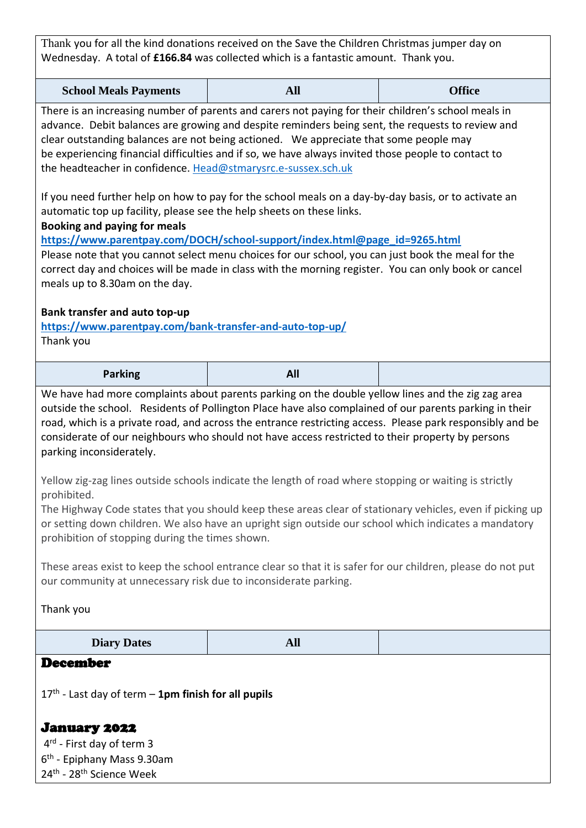Thank you for all the kind donations received on the Save the Children Christmas jumper day on Wednesday. A total of **£166.84** was collected which is a fantastic amount. Thank you.

| <b>School Meals Payments</b> | All | <b>Office</b> |
|------------------------------|-----|---------------|
|------------------------------|-----|---------------|

There is an increasing number of parents and carers not paying for their children's school meals in advance. Debit balances are growing and despite reminders being sent, the requests to review and clear outstanding balances are not being actioned. We appreciate that some people may be experiencing financial difficulties and if so, we have always invited those people to contact to the headteacher in confidence. [Head@stmarysrc.e-sussex.sch.uk](mailto:Head@stmarysrc.e-sussex.sch.uk) 

If you need further help on how to pay for the school meals on a day-by-day basis, or to activate an automatic top up facility, please see the help sheets on these links.

**Booking and paying for meals**

**[https://www.parentpay.com/DOCH/school-support/index.html@page\\_id=9265.html](https://www.parentpay.com/DOCH/school-support/index.html@page_id=9265.html)** 

Please note that you cannot select menu choices for our school, you can just book the meal for the correct day and choices will be made in class with the morning register. You can only book or cancel meals up to 8.30am on the day.

#### **Bank transfer and auto top-up**

**<https://www.parentpay.com/bank-transfer-and-auto-top-up/>** Thank you

**Parking All**

We have had more complaints about parents parking on the double yellow lines and the zig zag area outside the school. Residents of Pollington Place have also complained of our parents parking in their road, which is a private road, and across the entrance restricting access. Please park responsibly and be considerate of our neighbours who should not have access restricted to their property by persons parking inconsiderately.

Yellow zig-zag lines outside schools indicate the length of road where stopping or waiting is strictly prohibited.

The Highway Code states that you should keep these areas clear of stationary vehicles, even if picking up or setting down children. We also have an upright sign outside our school which indicates a mandatory prohibition of stopping during the times shown.

These areas exist to keep the school entrance clear so that it is safer for our children, please do not put our community at unnecessary risk due to inconsiderate parking.

Thank you

| <b>Diary Dates</b> | All |  |
|--------------------|-----|--|
|--------------------|-----|--|

#### December

17th - Last day of term – **1pm finish for all pupils**

January 2022 4<sup>rd</sup> - First day of term 3 6<sup>th</sup> - Epiphany Mass 9.30am 24<sup>th</sup> - 28<sup>th</sup> Science Week